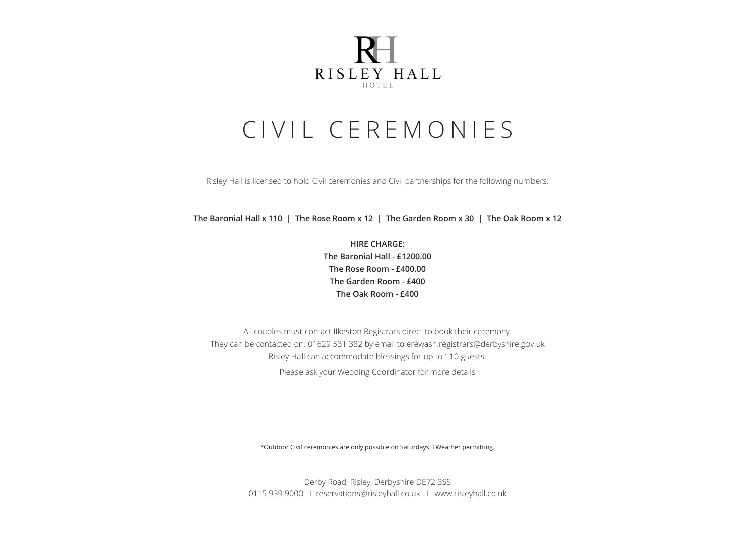

# CIVIL CEREMONIES

Risley Hall is licensed to hold Civil ceremonies and Civil partnerships for the following numbers:

**The Baronial Hall x 110 | The Rose Room x 12 | The Garden Room x 30 | The Oak Room x 12**

**HIRE CHARGE: The Baronial Hall - £1200.00 The Rose Room - £400.00 The Garden Room - £400 The Oak Room - £400**

All couples must contact IIkeston Registrars direct to book their ceremony. They can be contacted on: 01629 531 382 by email to erewash.registrars@derbyshire.gov.uk Risley Hall can accommodate blessings for up to 110 guests. Please ask your Wedding Coordinator for more details

\*Outdoor Civil ceremonies are only possible on Saturdays. †Weather permitting.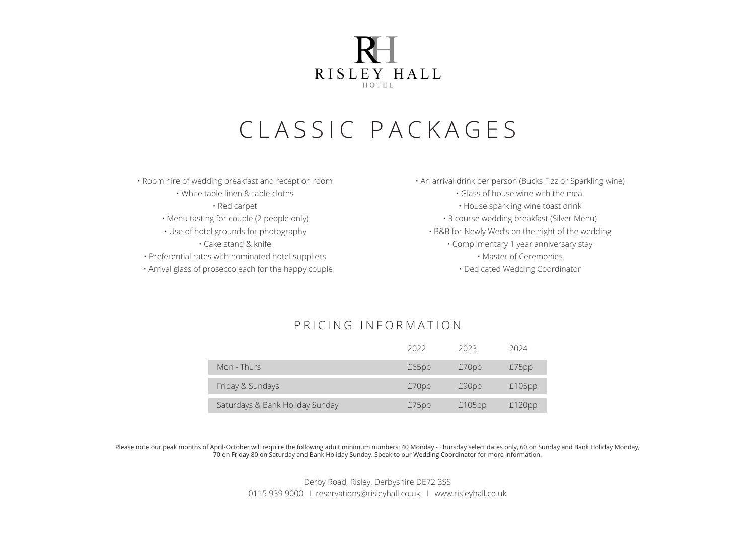

# CLASSIC PACKAGES

• Room hire of wedding breakfast and reception room • White table linen & table cloths • Red carpet • Menu tasting for couple (2 people only) • Use of hotel grounds for photography • Cake stand & knife • Preferential rates with nominated hotel suppliers • Arrival glass of prosecco each for the happy couple

• An arrival drink per person (Bucks Fizz or Sparkling wine) • Glass of house wine with the meal • House sparkling wine toast drink • 3 course wedding breakfast (Silver Menu) • B&B for Newly Wed's on the night of the wedding • Complimentary 1 year anniversary stay • Master of Ceremonies • Dedicated Wedding Coordinator

## PRICING INFORMATION

|                                 | 2022  | 2023      | 2024      |
|---------------------------------|-------|-----------|-----------|
| Mon - Thurs                     | £65pp | £70pp     | £75pp     |
| Friday & Sundays                | £70pp | £90pp     | $£105$ pp |
| Saturdays & Bank Holiday Sunday | £75pp | $£105$ pp | £120pp    |

Please note our peak months of April-October will require the following adult minimum numbers: 40 Monday - Thursday select dates only, 60 on Sunday and Bank Holiday Monday, 70 on Friday 80 on Saturday and Bank Holiday Sunday. Speak to our Wedding Coordinator for more information.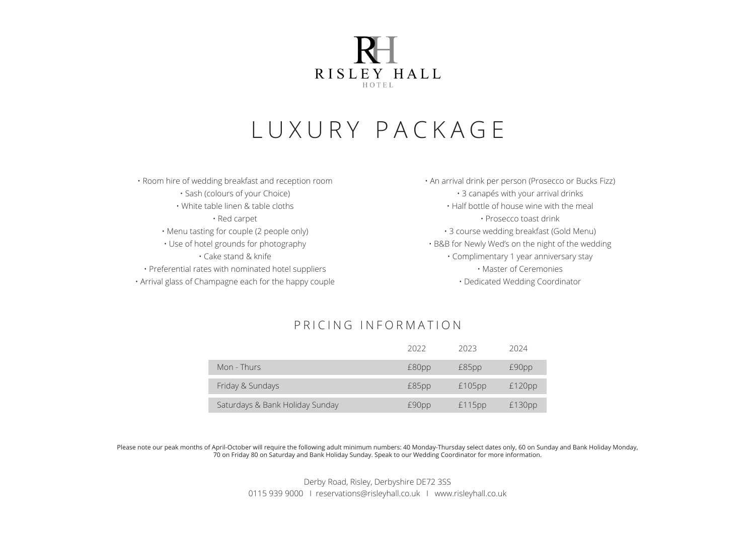

## LUXURY PACKAGE

- Room hire of wedding breakfast and reception room • Sash (colours of your Choice) • White table linen & table cloths • Red carpet • Menu tasting for couple (2 people only) • Use of hotel grounds for photography • Cake stand & knife • Preferential rates with nominated hotel suppliers
- Arrival glass of Champagne each for the happy couple

• An arrival drink per person (Prosecco or Bucks Fizz) • 3 canapés with your arrival drinks • Half bottle of house wine with the meal • Prosecco toast drink • 3 course wedding breakfast (Gold Menu) • B&B for Newly Wed's on the night of the wedding • Complimentary 1 year anniversary stay • Master of Ceremonies • Dedicated Wedding Coordinator

## PRICING INFORMATION

|                                 | 2022  | 2023   | 2024   |
|---------------------------------|-------|--------|--------|
| Mon - Thurs                     | £80pp | £85pp  | £90pp  |
| Friday & Sundays                | £85pp | £105pp | £120pp |
| Saturdays & Bank Holiday Sunday | £90pp | £115pp | £130pp |

Please note our peak months of April-October will require the following adult minimum numbers: 40 Monday-Thursday select dates only, 60 on Sunday and Bank Holiday Monday, 70 on Friday 80 on Saturday and Bank Holiday Sunday. Speak to our Wedding Coordinator for more information.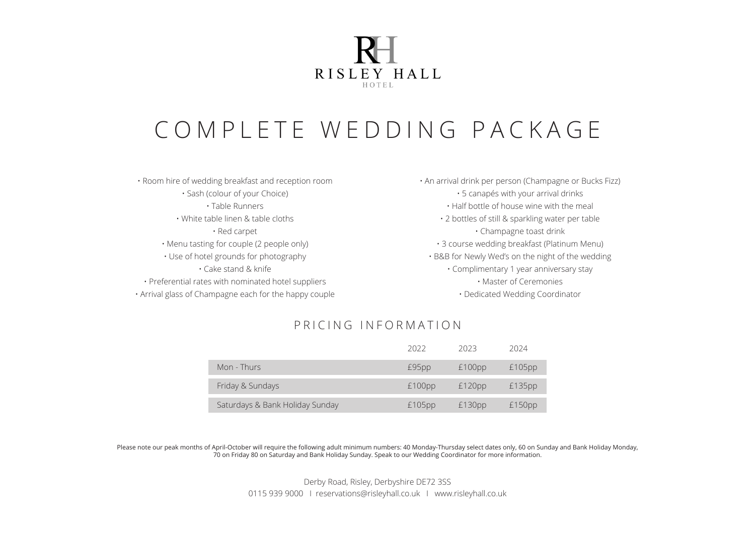

# COMPLETE WEDDING PACKAGE

• Room hire of wedding breakfast and reception room • Sash (colour of your Choice) • Table Runners • White table linen & table cloths • Red carpet • Menu tasting for couple (2 people only) • Use of hotel grounds for photography • Cake stand & knife • Preferential rates with nominated hotel suppliers • Arrival glass of Champagne each for the happy couple • An arrival drink per person (Champagne or Bucks Fizz) • 5 canapés with your arrival drinks • Half bottle of house wine with the meal • 2 bottles of still & sparkling water per table • Champagne toast drink • 3 course wedding breakfast (Platinum Menu) • B&B for Newly Wed's on the night of the wedding • Complimentary 1 year anniversary stay • Master of Ceremonies • Dedicated Wedding Coordinator

## PRICING INFORMATION

|                                 | 2022   | 2023   | 2024      |
|---------------------------------|--------|--------|-----------|
| Mon - Thurs                     | £95pp  | £100pp | $£105$ pp |
| Friday & Sundays                | £100pp | £120pp | £135pp    |
| Saturdays & Bank Holiday Sunday | £105pp | £130pp | £150pp    |

Please note our peak months of April-October will require the following adult minimum numbers: 40 Monday-Thursday select dates only, 60 on Sunday and Bank Holiday Monday, 70 on Friday 80 on Saturday and Bank Holiday Sunday. Speak to our Wedding Coordinator for more information.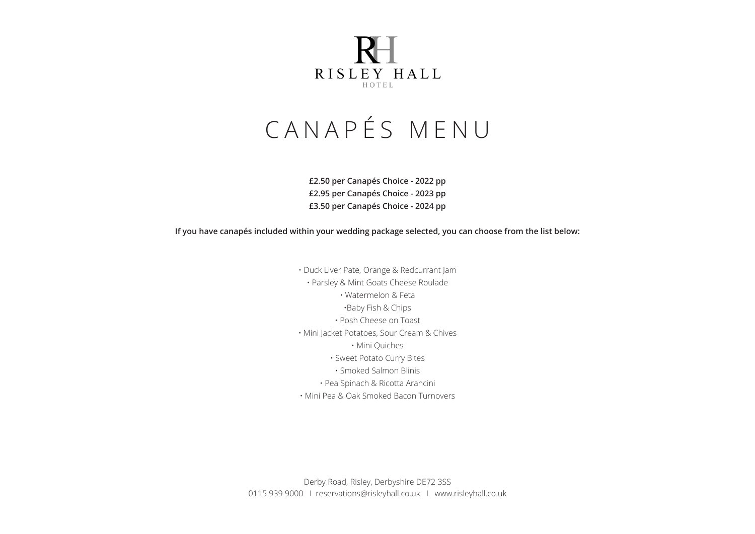

# CANAPÉS MENU

**£2.50 per Canapés Choice - 2022 pp £2.95 per Canapés Choice - 2023 pp £3.50 per Canapés Choice - 2024 pp**

**If you have canapés included within your wedding package selected, you can choose from the list below:**

• Duck Liver Pate, Orange & Redcurrant Jam • Parsley & Mint Goats Cheese Roulade • Watermelon & Feta •Baby Fish & Chips • Posh Cheese on Toast • Mini Jacket Potatoes, Sour Cream & Chives • Mini Quiches • Sweet Potato Curry Bites • Smoked Salmon Blinis • Pea Spinach & Ricotta Arancini • Mini Pea & Oak Smoked Bacon Turnovers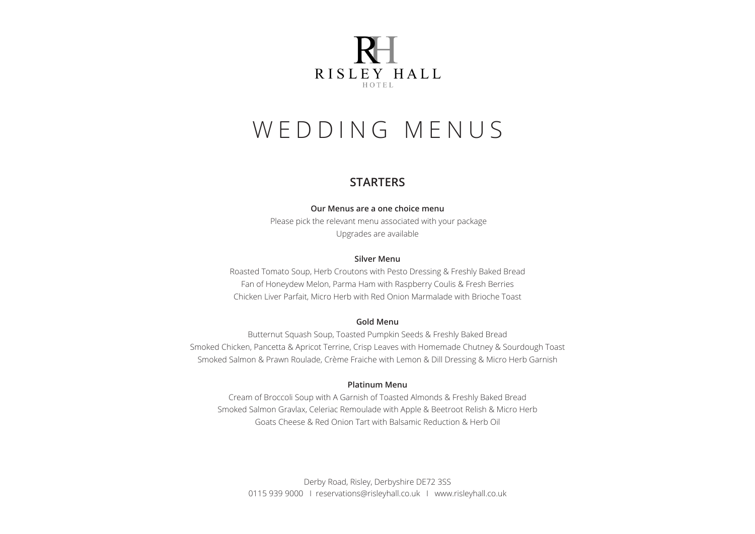

## **STARTERS**

#### **Our Menus are a one choice menu**

Please pick the relevant menu associated with your package Upgrades are available

#### **Silver Menu**

Roasted Tomato Soup, Herb Croutons with Pesto Dressing & Freshly Baked Bread Fan of Honeydew Melon, Parma Ham with Raspberry Coulis & Fresh Berries Chicken Liver Parfait, Micro Herb with Red Onion Marmalade with Brioche Toast

#### **Gold Menu**

Butternut Squash Soup, Toasted Pumpkin Seeds & Freshly Baked Bread Smoked Chicken, Pancetta & Apricot Terrine, Crisp Leaves with Homemade Chutney & Sourdough Toast Smoked Salmon & Prawn Roulade, Crème Fraiche with Lemon & Dill Dressing & Micro Herb Garnish

### **Platinum Menu**

Cream of Broccoli Soup with A Garnish of Toasted Almonds & Freshly Baked Bread Smoked Salmon Gravlax, Celeriac Remoulade with Apple & Beetroot Relish & Micro Herb Goats Cheese & Red Onion Tart with Balsamic Reduction & Herb Oil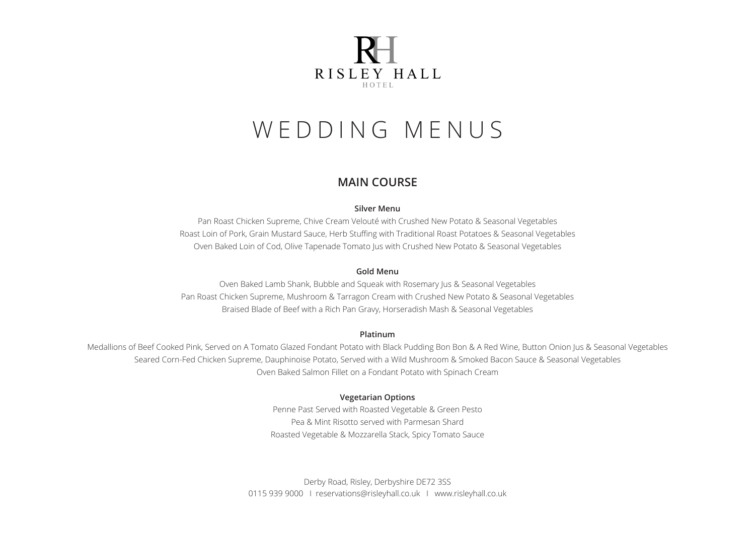

## **MAIN COURSE**

#### **Silver Menu**

Pan Roast Chicken Supreme, Chive Cream Velouté with Crushed New Potato & Seasonal Vegetables Roast Loin of Pork, Grain Mustard Sauce, Herb Stuffing with Traditional Roast Potatoes & Seasonal Vegetables Oven Baked Loin of Cod, Olive Tapenade Tomato Jus with Crushed New Potato & Seasonal Vegetables

### **Gold Menu**

Oven Baked Lamb Shank, Bubble and Squeak with Rosemary Jus & Seasonal Vegetables Pan Roast Chicken Supreme, Mushroom & Tarragon Cream with Crushed New Potato & Seasonal Vegetables Braised Blade of Beef with a Rich Pan Gravy, Horseradish Mash & Seasonal Vegetables

#### **Platinum**

Medallions of Beef Cooked Pink, Served on A Tomato Glazed Fondant Potato with Black Pudding Bon Bon & A Red Wine, Button Onion Jus & Seasonal Vegetables Seared Corn-Fed Chicken Supreme, Dauphinoise Potato, Served with a Wild Mushroom & Smoked Bacon Sauce & Seasonal Vegetables Oven Baked Salmon Fillet on a Fondant Potato with Spinach Cream

### **Vegetarian Options**

Penne Past Served with Roasted Vegetable & Green Pesto Pea & Mint Risotto served with Parmesan Shard Roasted Vegetable & Mozzarella Stack, Spicy Tomato Sauce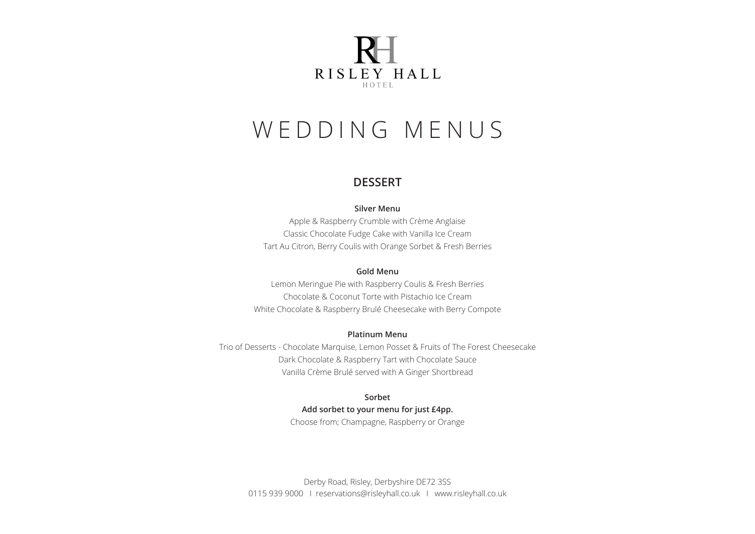

## **DESSERT**

#### **Silver Menu**

Apple & Raspberry Crumble with Crème Anglaise Classic Chocolate Fudge Cake with Vanilla Ice Cream Tart Au Citron, Berry Coulis with Orange Sorbet & Fresh Berries

#### **Gold Menu**

Lemon Meringue Pie with Raspberry Coulis & Fresh Berries Chocolate & Coconut Torte with Pistachio Ice Cream White Chocolate & Raspberry Brulé Cheesecake with Berry Compote

#### **Platinum Menu**

Trio of Desserts - Chocolate Marquise, Lemon Posset & Fruits of The Forest Cheesecake Dark Chocolate & Raspberry Tart with Chocolate Sauce Vanilla Crème Brulé served with A Ginger Shortbread

## **Sorbet**

## **Add sorbet to your menu for just £4pp.**

Choose from; Champagne, Raspberry or Orange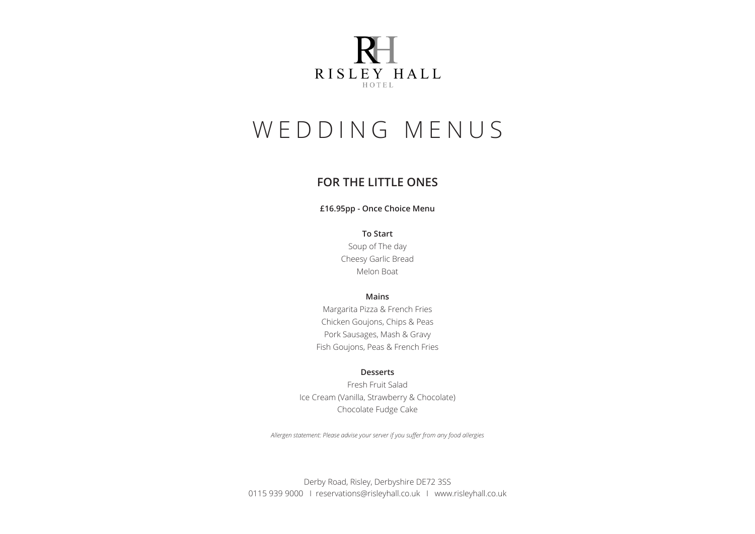

## **FOR THE LITTLE ONES**

### **£16.95pp - Once Choice Menu**

**To Start** Soup of The day Cheesy Garlic Bread

Melon Boat

### **Mains**

Margarita Pizza & French Fries Chicken Goujons, Chips & Peas Pork Sausages, Mash & Gravy Fish Goujons, Peas & French Fries

### **Desserts**

Fresh Fruit Salad Ice Cream (Vanilla, Strawberry & Chocolate) Chocolate Fudge Cake

*Allergen statement: Please advise your server if you suffer from any food allergies*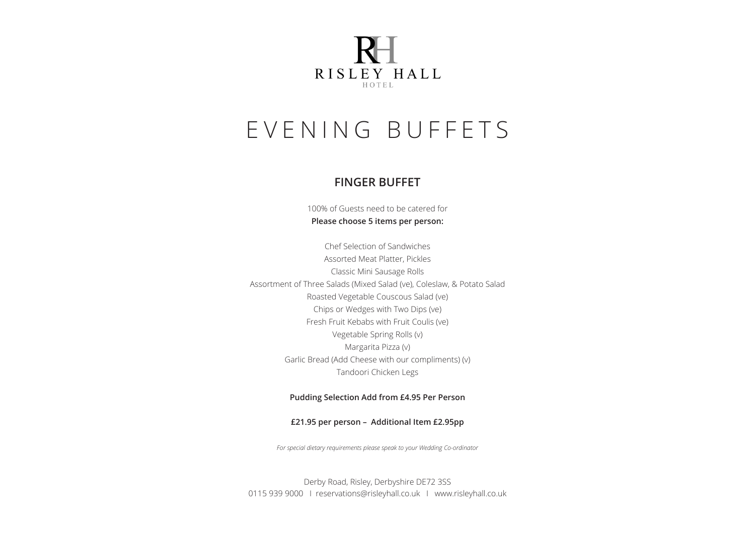

## EVENING BUFFETS

## **FINGER BUFFET**

100% of Guests need to be catered for **Please choose 5 items per person:**

Chef Selection of Sandwiches Assorted Meat Platter, Pickles Classic Mini Sausage Rolls Assortment of Three Salads (Mixed Salad (ve), Coleslaw, & Potato Salad Roasted Vegetable Couscous Salad (ve) Chips or Wedges with Two Dips (ve) Fresh Fruit Kebabs with Fruit Coulis (ve) Vegetable Spring Rolls (v) Margarita Pizza (v) Garlic Bread (Add Cheese with our compliments) (v) Tandoori Chicken Legs

#### **Pudding Selection Add from £4.95 Per Person**

#### **£21.95 per person – Additional Item £2.95pp**

*For special dietary requirements please speak to your Wedding Co-ordinator*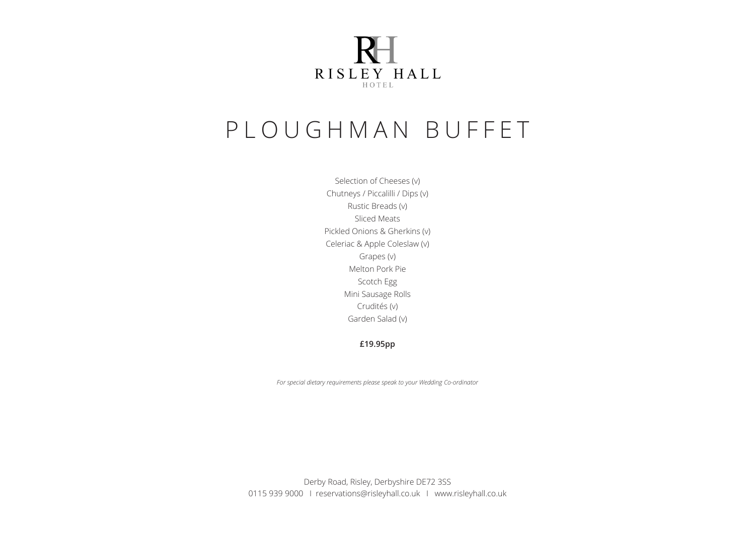

## PLOUGHMAN BUFFET

Selection of Cheeses (v) Chutneys / Piccalilli / Dips (v) Rustic Breads (v) Sliced Meats Pickled Onions & Gherkins (v) Celeriac & Apple Coleslaw (v) Grapes (v) Melton Pork Pie Scotch Egg Mini Sausage Rolls Crudités (v) Garden Salad (v)

**£19.95pp** 

*For special dietary requirements please speak to your Wedding Co-ordinator*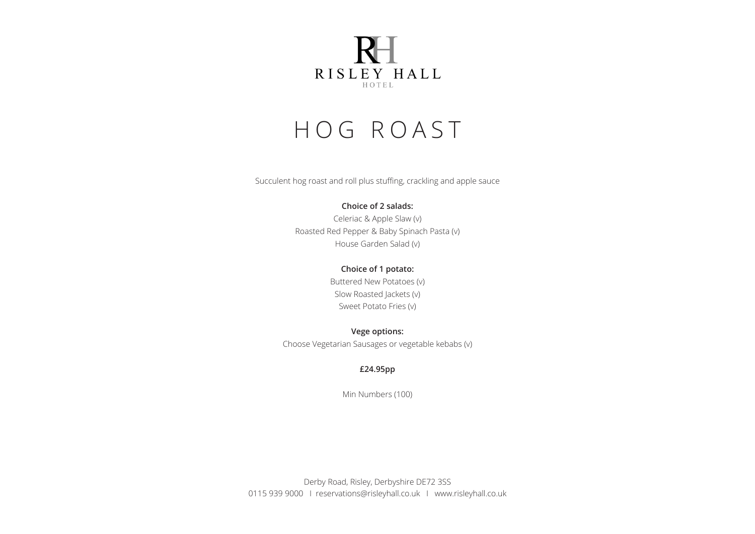

## HOG ROAST

Succulent hog roast and roll plus stuffing, crackling and apple sauce

### **Choice of 2 salads:**

Celeriac & Apple Slaw (v) Roasted Red Pepper & Baby Spinach Pasta (v) House Garden Salad (v)

### **Choice of 1 potato:**

Buttered New Potatoes (v) Slow Roasted Jackets (v) Sweet Potato Fries (v)

**Vege options:**  Choose Vegetarian Sausages or vegetable kebabs (v)

### **£24.95pp**

Min Numbers (100)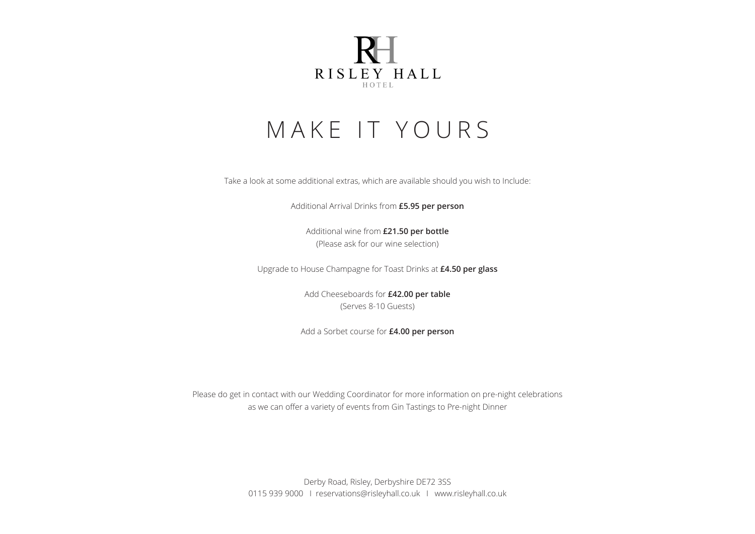

## MAKE IT YOURS

Take a look at some additional extras, which are available should you wish to Include:

Additional Arrival Drinks from **£5.95 per person**

Additional wine from **£21.50 per bottle** (Please ask for our wine selection)

Upgrade to House Champagne for Toast Drinks at **£4.50 per glass**

Add Cheeseboards for **£42.00 per table** (Serves 8-10 Guests)

Add a Sorbet course for **£4.00 per person**

Please do get in contact with our Wedding Coordinator for more information on pre-night celebrations as we can offer a variety of events from Gin Tastings to Pre-night Dinner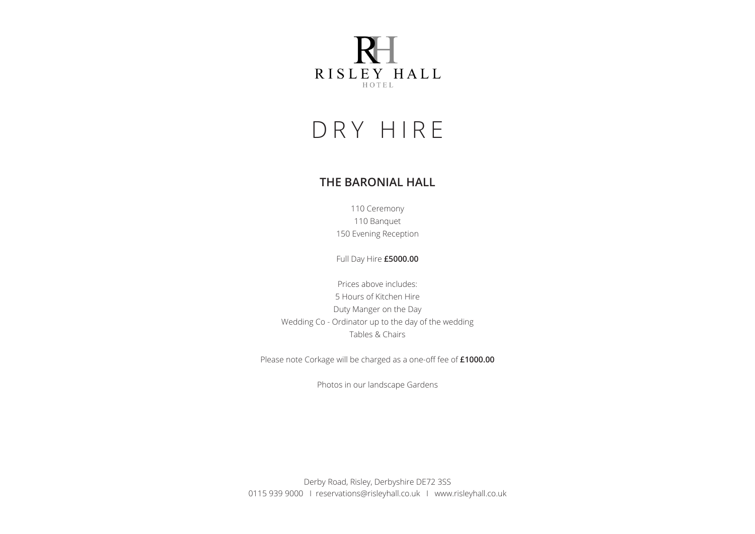

## DRY HIRE

## **THE BARONIAL HALL**

110 Ceremony 110 Banquet 150 Evening Reception

Full Day Hire **£5000.00**

Prices above includes: 5 Hours of Kitchen Hire Duty Manger on the Day Wedding Co - Ordinator up to the day of the wedding Tables & Chairs

Please note Corkage will be charged as a one-off fee of **£1000.00**

Photos in our landscape Gardens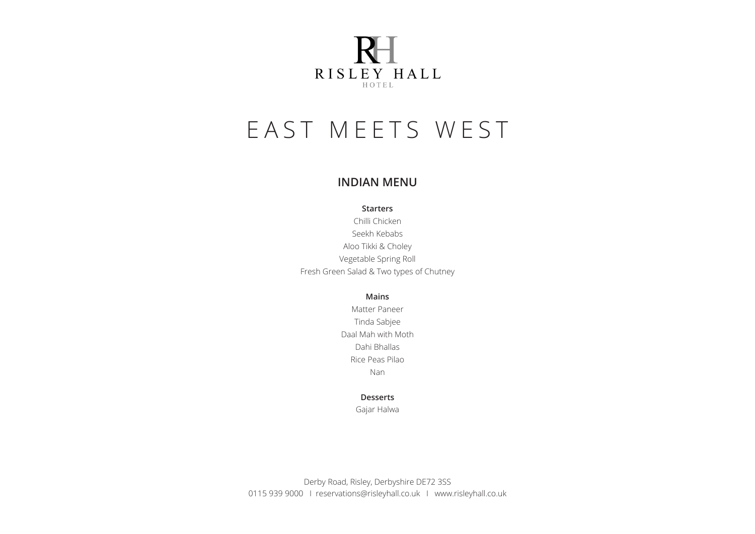

# EAST MEETS WEST

## **INDIAN MENU**

**Starters**

Chilli Chicken Seekh Kebabs Aloo Tikki & Choley Vegetable Spring Roll Fresh Green Salad & Two types of Chutney

**Mains**

Matter Paneer Tinda Sabjee Daal Mah with Moth Dahi Bhallas Rice Peas Pilao Nan

### **Desserts**

Gajar Halwa